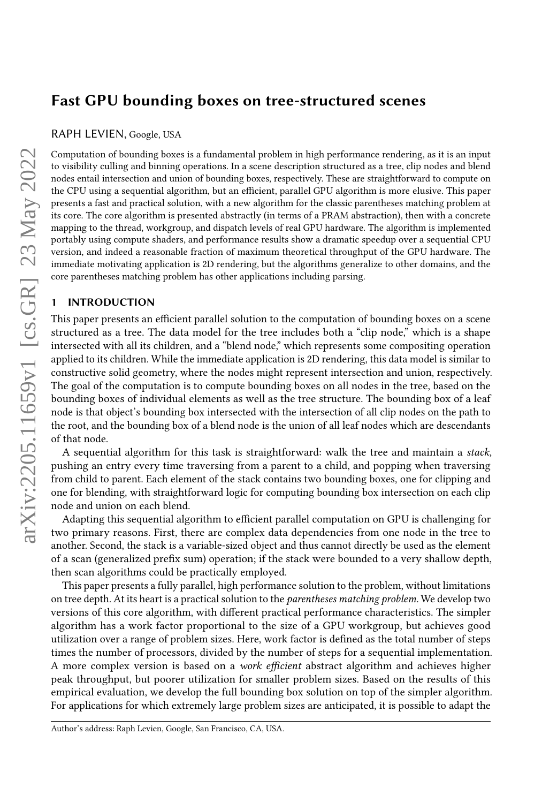# Fast GPU bounding boxes on tree-structured scenes

RAPH LEVIEN, Google, USA

Computation of bounding boxes is a fundamental problem in high performance rendering, as it is an input to visibility culling and binning operations. In a scene description structured as a tree, clip nodes and blend nodes entail intersection and union of bounding boxes, respectively. These are straightforward to compute on the CPU using a sequential algorithm, but an efficient, parallel GPU algorithm is more elusive. This paper presents a fast and practical solution, with a new algorithm for the classic parentheses matching problem at its core. The core algorithm is presented abstractly (in terms of a PRAM abstraction), then with a concrete mapping to the thread, workgroup, and dispatch levels of real GPU hardware. The algorithm is implemented portably using compute shaders, and performance results show a dramatic speedup over a sequential CPU version, and indeed a reasonable fraction of maximum theoretical throughput of the GPU hardware. The immediate motivating application is 2D rendering, but the algorithms generalize to other domains, and the core parentheses matching problem has other applications including parsing.

## 1 INTRODUCTION

This paper presents an efficient parallel solution to the computation of bounding boxes on a scene structured as a tree. The data model for the tree includes both a "clip node," which is a shape intersected with all its children, and a "blend node," which represents some compositing operation applied to its children. While the immediate application is 2D rendering, this data model is similar to constructive solid geometry, where the nodes might represent intersection and union, respectively. The goal of the computation is to compute bounding boxes on all nodes in the tree, based on the bounding boxes of individual elements as well as the tree structure. The bounding box of a leaf node is that object's bounding box intersected with the intersection of all clip nodes on the path to the root, and the bounding box of a blend node is the union of all leaf nodes which are descendants of that node.

A sequential algorithm for this task is straightforward: walk the tree and maintain a stack, pushing an entry every time traversing from a parent to a child, and popping when traversing from child to parent. Each element of the stack contains two bounding boxes, one for clipping and one for blending, with straightforward logic for computing bounding box intersection on each clip node and union on each blend.

Adapting this sequential algorithm to efficient parallel computation on GPU is challenging for two primary reasons. First, there are complex data dependencies from one node in the tree to another. Second, the stack is a variable-sized object and thus cannot directly be used as the element of a scan (generalized prefix sum) operation; if the stack were bounded to a very shallow depth, then scan algorithms could be practically employed.

This paper presents a fully parallel, high performance solution to the problem, without limitations on tree depth. At its heart is a practical solution to the parentheses matching problem. We develop two versions of this core algorithm, with different practical performance characteristics. The simpler algorithm has a work factor proportional to the size of a GPU workgroup, but achieves good utilization over a range of problem sizes. Here, work factor is defined as the total number of steps times the number of processors, divided by the number of steps for a sequential implementation. A more complex version is based on a work efficient abstract algorithm and achieves higher peak throughput, but poorer utilization for smaller problem sizes. Based on the results of this empirical evaluation, we develop the full bounding box solution on top of the simpler algorithm. For applications for which extremely large problem sizes are anticipated, it is possible to adapt the

Author's address: Raph Levien, Google, San Francisco, CA, USA.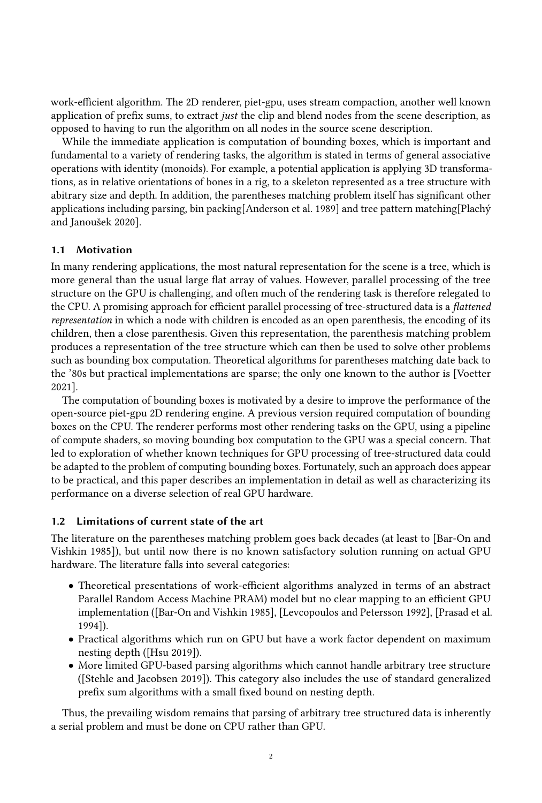work-efficient algorithm. The 2D renderer, piet-gpu, uses stream compaction, another well known application of prefix sums, to extract just the clip and blend nodes from the scene description, as opposed to having to run the algorithm on all nodes in the source scene description.

While the immediate application is computation of bounding boxes, which is important and fundamental to a variety of rendering tasks, the algorithm is stated in terms of general associative operations with identity (monoids). For example, a potential application is applying 3D transformations, as in relative orientations of bones in a rig, to a skeleton represented as a tree structure with abitrary size and depth. In addition, the parentheses matching problem itself has significant other applications including parsing, bin packing[\[Anderson et al.](#page-14-0) [1989\]](#page-14-0) and tree pattern matching[\[Plachý](#page-14-1) [and Janoušek 2020\]](#page-14-1).

# 1.1 Motivation

In many rendering applications, the most natural representation for the scene is a tree, which is more general than the usual large flat array of values. However, parallel processing of the tree structure on the GPU is challenging, and often much of the rendering task is therefore relegated to the CPU. A promising approach for efficient parallel processing of tree-structured data is a flattened representation in which a node with children is encoded as an open parenthesis, the encoding of its children, then a close parenthesis. Given this representation, the parenthesis matching problem produces a representation of the tree structure which can then be used to solve other problems such as bounding box computation. Theoretical algorithms for parentheses matching date back to the '80s but practical implementations are sparse; the only one known to the author is [\[Voetter](#page-15-0) [2021\]](#page-15-0).

The computation of bounding boxes is motivated by a desire to improve the performance of the open-source piet-gpu 2D rendering engine. A previous version required computation of bounding boxes on the CPU. The renderer performs most other rendering tasks on the GPU, using a pipeline of compute shaders, so moving bounding box computation to the GPU was a special concern. That led to exploration of whether known techniques for GPU processing of tree-structured data could be adapted to the problem of computing bounding boxes. Fortunately, such an approach does appear to be practical, and this paper describes an implementation in detail as well as characterizing its performance on a diverse selection of real GPU hardware.

## 1.2 Limitations of current state of the art

The literature on the parentheses matching problem goes back decades (at least to [\[Bar-On and](#page-14-2) [Vishkin 1985\]](#page-14-2)), but until now there is no known satisfactory solution running on actual GPU hardware. The literature falls into several categories:

- Theoretical presentations of work-efficient algorithms analyzed in terms of an abstract Parallel Random Access Machine PRAM) model but no clear mapping to an efficient GPU implementation ([\[Bar-On and Vishkin 1985\]](#page-14-2), [\[Levcopoulos and Petersson 1992\]](#page-14-3), [\[Prasad et al.](#page-14-4) [1994\]](#page-14-4)).
- Practical algorithms which run on GPU but have a work factor dependent on maximum nesting depth ([\[Hsu 2019\]](#page-14-5)).
- More limited GPU-based parsing algorithms which cannot handle arbitrary tree structure ([\[Stehle and Jacobsen 2019\]](#page-14-6)). This category also includes the use of standard generalized prefix sum algorithms with a small fixed bound on nesting depth.

Thus, the prevailing wisdom remains that parsing of arbitrary tree structured data is inherently a serial problem and must be done on CPU rather than GPU.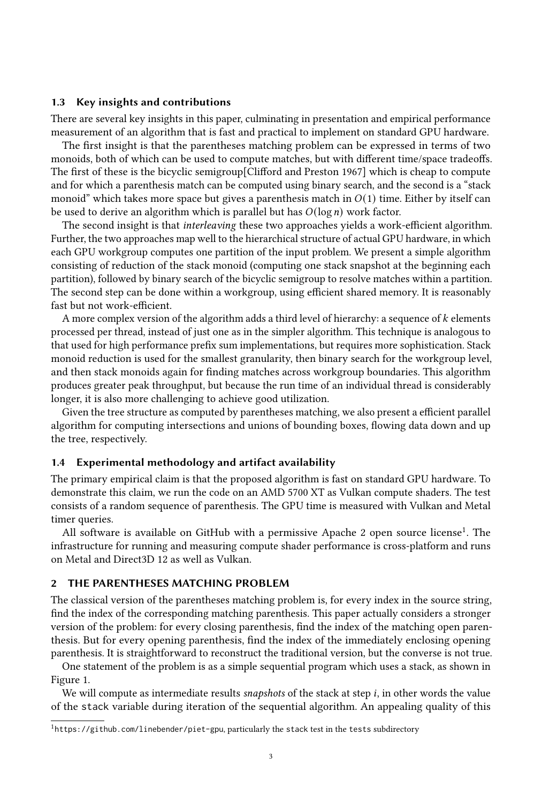## 1.3 Key insights and contributions

There are several key insights in this paper, culminating in presentation and empirical performance measurement of an algorithm that is fast and practical to implement on standard GPU hardware.

The first insight is that the parentheses matching problem can be expressed in terms of two monoids, both of which can be used to compute matches, but with different time/space tradeoffs. The first of these is the bicyclic semigroup[\[Clifford and Preston 1967\]](#page-14-7) which is cheap to compute and for which a parenthesis match can be computed using binary search, and the second is a "stack monoid" which takes more space but gives a parenthesis match in  $O(1)$  time. Either by itself can be used to derive an algorithm which is parallel but has  $O(\log n)$  work factor.

The second insight is that *interleaving* these two approaches yields a work-efficient algorithm. Further, the two approaches map well to the hierarchical structure of actual GPU hardware, in which each GPU workgroup computes one partition of the input problem. We present a simple algorithm consisting of reduction of the stack monoid (computing one stack snapshot at the beginning each partition), followed by binary search of the bicyclic semigroup to resolve matches within a partition. The second step can be done within a workgroup, using efficient shared memory. It is reasonably fast but not work-efficient.

A more complex version of the algorithm adds a third level of hierarchy: a sequence of  $k$  elements processed per thread, instead of just one as in the simpler algorithm. This technique is analogous to that used for high performance prefix sum implementations, but requires more sophistication. Stack monoid reduction is used for the smallest granularity, then binary search for the workgroup level, and then stack monoids again for finding matches across workgroup boundaries. This algorithm produces greater peak throughput, but because the run time of an individual thread is considerably longer, it is also more challenging to achieve good utilization.

Given the tree structure as computed by parentheses matching, we also present a efficient parallel algorithm for computing intersections and unions of bounding boxes, flowing data down and up the tree, respectively.

#### 1.4 Experimental methodology and artifact availability

The primary empirical claim is that the proposed algorithm is fast on standard GPU hardware. To demonstrate this claim, we run the code on an AMD 5700 XT as Vulkan compute shaders. The test consists of a random sequence of parenthesis. The GPU time is measured with Vulkan and Metal timer queries.

All software is available on GitHub with a permissive Apache 2 open source license<sup>[1](#page-2-0)</sup>. The infrastructure for running and measuring compute shader performance is cross-platform and runs on Metal and Direct3D 12 as well as Vulkan.

#### 2 THE PARENTHESES MATCHING PROBLEM

The classical version of the parentheses matching problem is, for every index in the source string, find the index of the corresponding matching parenthesis. This paper actually considers a stronger version of the problem: for every closing parenthesis, find the index of the matching open parenthesis. But for every opening parenthesis, find the index of the immediately enclosing opening parenthesis. It is straightforward to reconstruct the traditional version, but the converse is not true.

One statement of the problem is as a simple sequential program which uses a stack, as shown in Figure [1.](#page-3-0)

We will compute as intermediate results snapshots of the stack at step  $i$ , in other words the value of the stack variable during iteration of the sequential algorithm. An appealing quality of this

<span id="page-2-0"></span> $1$ https://github.com/linebender/piet-gpu, particularly the stack test in the tests subdirectory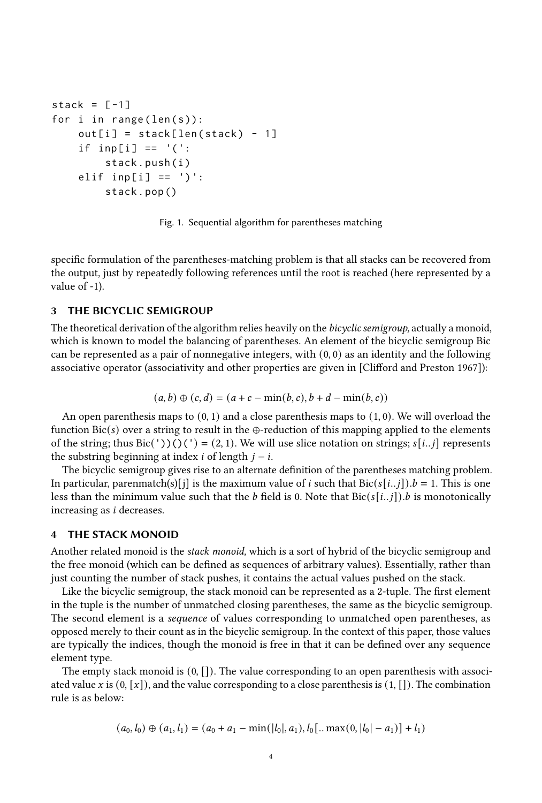```
stack = [-1]for i in range (len(s)):
    out[i] = stack[len(state) - 1]if inp[i] == '(':stack . push ( i )
    elif inp[i] == ')':
        stack . pop ()
```
Fig. 1. Sequential algorithm for parentheses matching

specific formulation of the parentheses-matching problem is that all stacks can be recovered from the output, just by repeatedly following references until the root is reached (here represented by a value of -1).

# 3 THE BICYCLIC SEMIGROUP

The theoretical derivation of the algorithm relies heavily on the bicyclic semigroup, actually a monoid, which is known to model the balancing of parentheses. An element of the bicyclic semigroup Bic can be represented as a pair of nonnegative integers, with  $(0, 0)$  as an identity and the following associative operator (associativity and other properties are given in [\[Clifford and Preston 1967\]](#page-14-7)):

$$
(a, b) \oplus (c, d) = (a + c - min(b, c), b + d - min(b, c))
$$

An open parenthesis maps to  $(0, 1)$  and a close parenthesis maps to  $(1, 0)$ . We will overload the function  $\text{Bic}(s)$  over a string to result in the  $\oplus$ -reduction of this mapping applied to the elements of the string; thus Bic('))()(') = (2, 1). We will use slice notation on strings;  $s[i..j]$  represents the substring beginning at index  $i$  of length  $j - i$ .

The bicyclic semigroup gives rise to an alternate definition of the parentheses matching problem. In particular, parenmatch(s)[j] is the maximum value of *i* such that  $\text{Bic}(s[i..j])$ .  $b = 1$ . This is one less than the minimum value such that the *b* field is 0. Note that  $Bic(s[i..j])$ . *b* is monotonically increasing as *i* decreases.

#### 4 THE STACK MONOID

Another related monoid is the stack monoid, which is a sort of hybrid of the bicyclic semigroup and the free monoid (which can be defined as sequences of arbitrary values). Essentially, rather than just counting the number of stack pushes, it contains the actual values pushed on the stack.

Like the bicyclic semigroup, the stack monoid can be represented as a 2-tuple. The first element in the tuple is the number of unmatched closing parentheses, the same as the bicyclic semigroup. The second element is a sequence of values corresponding to unmatched open parentheses, as opposed merely to their count as in the bicyclic semigroup. In the context of this paper, those values are typically the indices, though the monoid is free in that it can be defined over any sequence element type.

The empty stack monoid is  $(0, []$ . The value corresponding to an open parenthesis with associated value x is  $(0, [x])$ , and the value corresponding to a close parenthesis is  $(1, []$ . The combination rule is as below:

$$
(a_0, l_0) \oplus (a_1, l_1) = (a_0 + a_1 - \min(|l_0|, a_1), l_0[ \dots \max(0, |l_0| - a_1)] + l_1)
$$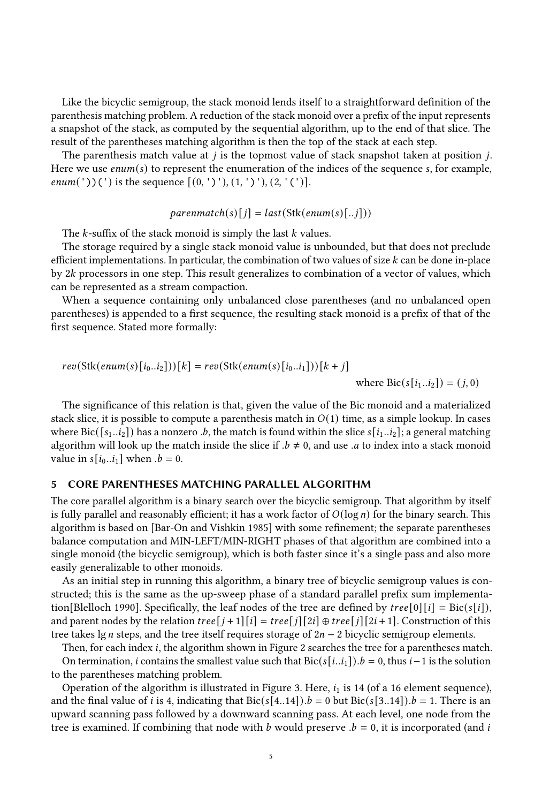Like the bicyclic semigroup, the stack monoid lends itself to a straightforward definition of the parenthesis matching problem. A reduction of the stack monoid over a prefix of the input represents a snapshot of the stack, as computed by the sequential algorithm, up to the end of that slice. The result of the parentheses matching algorithm is then the top of the stack at each step.

The parenthesis match value at  $j$  is the topmost value of stack snapshot taken at position  $j$ . Here we use  $enum(s)$  to represent the enumeration of the indices of the sequence s, for example, *enum*('))(') is the sequence  $[(0, ')'), (1, ')'), (2, '(')].$ 

$$
parentmatch(s)[j] = last(Stk(enum(s)[..j]))
$$

The  $k$ -suffix of the stack monoid is simply the last  $k$  values.

The storage required by a single stack monoid value is unbounded, but that does not preclude efficient implementations. In particular, the combination of two values of size  $k$  can be done in-place by 2k processors in one step. This result generalizes to combination of a vector of values, which can be represented as a stream compaction.

When a sequence containing only unbalanced close parentheses (and no unbalanced open parentheses) is appended to a first sequence, the resulting stack monoid is a prefix of that of the first sequence. Stated more formally:

$$
rev(Stk(enum(s)[i_0..i_2]))[k] = rev(Stk(enum(s)[i_0..i_1]))[k+j]
$$

where  $\text{Bic}(s[i_1..i_2]) = (j, 0)$ 

The significance of this relation is that, given the value of the Bic monoid and a materialized stack slice, it is possible to compute a parenthesis match in  $O(1)$  time, as a simple lookup. In cases where Bic( $[s_1..i_2]$ ) has a nonzero .b, the match is found within the slice  $s[i_1..i_2]$ ; a general matching algorithm will look up the match inside the slice if  $b \neq 0$ , and use .a to index into a stack monoid value in  $s[i_0..i_1]$  when  $b = 0$ .

#### 5 CORE PARENTHESES MATCHING PARALLEL ALGORITHM

The core parallel algorithm is a binary search over the bicyclic semigroup. That algorithm by itself is fully parallel and reasonably efficient; it has a work factor of  $O(\log n)$  for the binary search. This algorithm is based on [\[Bar-On and Vishkin 1985\]](#page-14-2) with some refinement; the separate parentheses balance computation and MIN-LEFT/MIN-RIGHT phases of that algorithm are combined into a single monoid (the bicyclic semigroup), which is both faster since it's a single pass and also more easily generalizable to other monoids.

As an initial step in running this algorithm, a binary tree of bicyclic semigroup values is constructed; this is the same as the up-sweep phase of a standard parallel prefix sum implementa-tion[\[Blelloch 1990\]](#page-14-8). Specifically, the leaf nodes of the tree are defined by  $tree[0][i] = \text{Bic}(s[i])$ , and parent nodes by the relation  $tree[j + 1][i] = tree[j][2i] \oplus tree[j][2i + 1]$ . Construction of this tree takes lg *n* steps, and the tree itself requires storage of  $2n - 2$  bicyclic semigroup elements.

Then, for each index  $i$ , the algorithm shown in Figure [2](#page-5-0) searches the tree for a parentheses match. On termination, *i* contains the smallest value such that  $\text{Bic}(s[i..i_1])$ .  $b = 0$ , thus  $i-1$  is the solution to the parentheses matching problem.

Operation of the algorithm is illustrated in Figure [3.](#page-6-0) Here,  $i_1$  is 14 (of a 16 element sequence), and the final value of *i* is 4, indicating that  $\text{Bic}(s[4..14])$ .  $b = 0$  but  $\text{Bic}(s[3..14])$ .  $b = 1$ . There is an upward scanning pass followed by a downward scanning pass. At each level, one node from the tree is examined. If combining that node with  $b$  would preserve  $b = 0$ , it is incorporated (and  $i$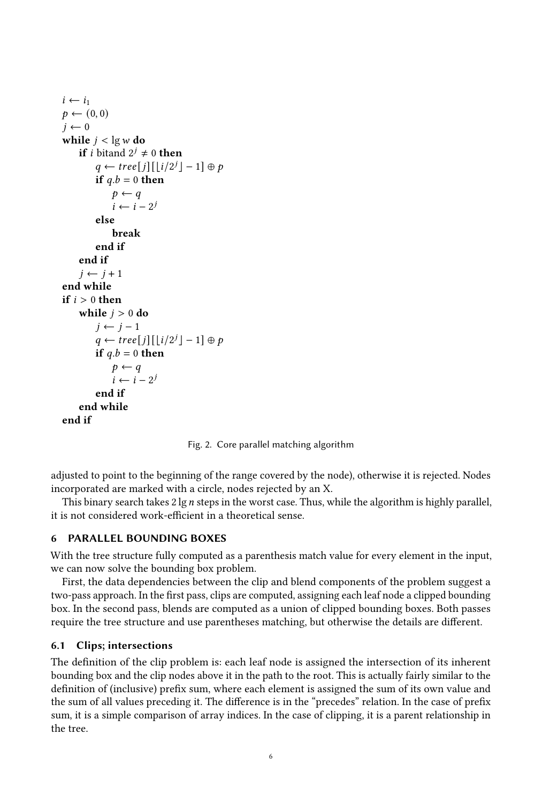```
i \leftarrow i_1p \leftarrow (0, 0)j \leftarrow 0while j < \lg w do
     if i bitand 2^j \neq 0 then
           q \leftarrow tree[j][\lfloor i/2^{j} \rfloor - 1] \oplus pif q.b = 0 then
                p \leftarrow qi \leftarrow i - 2^{j}else
                break
          end if
     end if
     i \leftarrow i + 1end while
if i > 0 then
     while j > 0 do
          j \leftarrow j - 1q \leftarrow tree[j][\lfloor i/2^{j} \rfloor - 1] \oplus pif q.b = 0 then
               p \leftarrow qi \leftarrow i - 2^{j}end if
     end while
end if
```
Fig. 2. Core parallel matching algorithm

adjusted to point to the beginning of the range covered by the node), otherwise it is rejected. Nodes incorporated are marked with a circle, nodes rejected by an X.

This binary search takes  $2 \lg n$  steps in the worst case. Thus, while the algorithm is highly parallel, it is not considered work-efficient in a theoretical sense.

## 6 PARALLEL BOUNDING BOXES

With the tree structure fully computed as a parenthesis match value for every element in the input, we can now solve the bounding box problem.

First, the data dependencies between the clip and blend components of the problem suggest a two-pass approach. In the first pass, clips are computed, assigning each leaf node a clipped bounding box. In the second pass, blends are computed as a union of clipped bounding boxes. Both passes require the tree structure and use parentheses matching, but otherwise the details are different.

## <span id="page-5-1"></span>6.1 Clips; intersections

The definition of the clip problem is: each leaf node is assigned the intersection of its inherent bounding box and the clip nodes above it in the path to the root. This is actually fairly similar to the definition of (inclusive) prefix sum, where each element is assigned the sum of its own value and the sum of all values preceding it. The difference is in the "precedes" relation. In the case of prefix sum, it is a simple comparison of array indices. In the case of clipping, it is a parent relationship in the tree.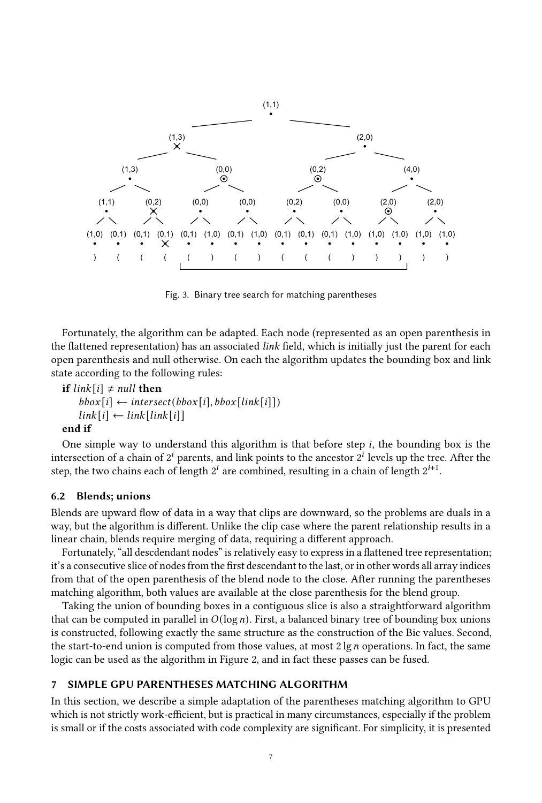<span id="page-6-0"></span>

Fig. 3. Binary tree search for matching parentheses

Fortunately, the algorithm can be adapted. Each node (represented as an open parenthesis in the flattened representation) has an associated link field, which is initially just the parent for each open parenthesis and null otherwise. On each the algorithm updates the bounding box and link state according to the following rules:

```
if link[i] \neq null then
```

```
bbox[i] \leftarrow intersect(bbox[i], bbox[link[i]])
link[i] \leftarrow link[link[i]]
```
#### end if

One simple way to understand this algorithm is that before step  $i$ , the bounding box is the intersection of a chain of  $2^i$  parents, and link points to the ancestor  $2^i$  levels up the tree. After the step, the two chains each of length  $2^{i}$  are combined, resulting in a chain of length  $2^{i+1}$ .

## 6.2 Blends; unions

Blends are upward flow of data in a way that clips are downward, so the problems are duals in a way, but the algorithm is different. Unlike the clip case where the parent relationship results in a linear chain, blends require merging of data, requiring a different approach.

Fortunately, "all descdendant nodes" is relatively easy to express in a flattened tree representation; it's a consecutive slice of nodes from the first descendant to the last, or in other words all array indices from that of the open parenthesis of the blend node to the close. After running the parentheses matching algorithm, both values are available at the close parenthesis for the blend group.

Taking the union of bounding boxes in a contiguous slice is also a straightforward algorithm that can be computed in parallel in  $O(log n)$ . First, a balanced binary tree of bounding box unions is constructed, following exactly the same structure as the construction of the Bic values. Second, the start-to-end union is computed from those values, at most  $2 \lg n$  operations. In fact, the same logic can be used as the algorithm in Figure [2,](#page-5-0) and in fact these passes can be fused.

## 7 SIMPLE GPU PARENTHESES MATCHING ALGORITHM

In this section, we describe a simple adaptation of the parentheses matching algorithm to GPU which is not strictly work-efficient, but is practical in many circumstances, especially if the problem is small or if the costs associated with code complexity are significant. For simplicity, it is presented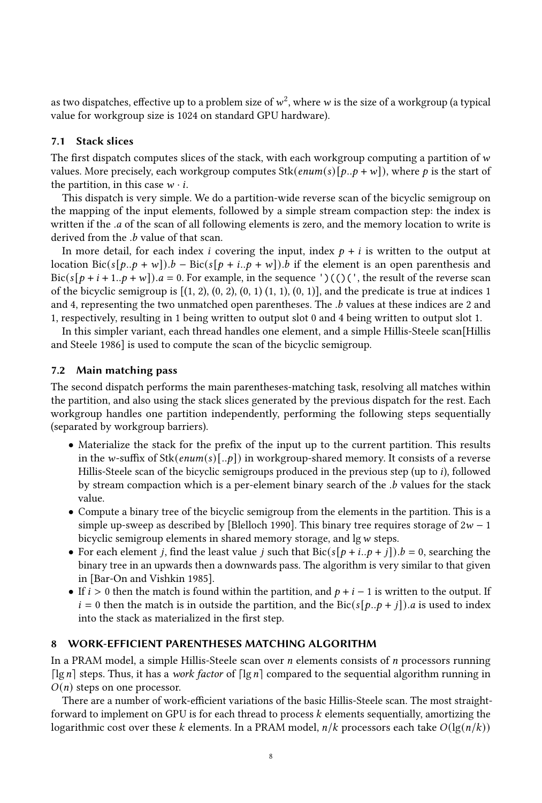as two dispatches, effective up to a problem size of  $w^2$ , where  $w$  is the size of a workgroup (a typical value for workgroup size is 1024 on standard GPU hardware).

## 7.1 Stack slices

The first dispatch computes slices of the stack, with each workgroup computing a partition of  $w$ values. More precisely, each workgroup computes  $Stk(enum(s)[p..p + w])$ , where p is the start of the partition, in this case  $w \cdot i$ .

This dispatch is very simple. We do a partition-wide reverse scan of the bicyclic semigroup on the mapping of the input elements, followed by a simple stream compaction step: the index is written if the .a of the scan of all following elements is zero, and the memory location to write is derived from the  $\cdot b$  value of that scan.

In more detail, for each index *i* covering the input, index  $p + i$  is written to the output at location Bic( $s[\rho, \rho + w]$ ).  $b - \text{Bic}(s[\rho + i, \rho + w])$ . *b* if the element is an open parenthesis and Bic( $s[p + i + 1..p + w]$ ). $a = 0$ . For example, in the sequence ')(()(', the result of the reverse scan of the bicyclic semigroup is  $[(1, 2), (0, 2), (0, 1), (1, 1), (0, 1)]$ , and the predicate is true at indices 1 and 4, representing the two unmatched open parentheses. The .b values at these indices are 2 and 1, respectively, resulting in 1 being written to output slot 0 and 4 being written to output slot 1.

In this simpler variant, each thread handles one element, and a simple Hillis-Steele scan<sup>[\[Hillis](#page-14-9)</sup>] [and Steele 1986\]](#page-14-9) is used to compute the scan of the bicyclic semigroup.

## 7.2 Main matching pass

The second dispatch performs the main parentheses-matching task, resolving all matches within the partition, and also using the stack slices generated by the previous dispatch for the rest. Each workgroup handles one partition independently, performing the following steps sequentially (separated by workgroup barriers).

- Materialize the stack for the prefix of the input up to the current partition. This results in the w-suffix of Stk( $enum(s)[..p]$ ) in workgroup-shared memory. It consists of a reverse Hillis-Steele scan of the bicyclic semigroups produced in the previous step (up to *i*), followed by stream compaction which is a per-element binary search of the  $.b$  values for the stack value.
- Compute a binary tree of the bicyclic semigroup from the elements in the partition. This is a simple up-sweep as described by [\[Blelloch 1990\]](#page-14-8). This binary tree requires storage of  $2w - 1$ bicyclic semigroup elements in shared memory storage, and  $\lg w$  steps.
- For each element *j*, find the least value *j* such that  $\text{Bic}(s[p + i..p + j]).b = 0$ , searching the binary tree in an upwards then a downwards pass. The algorithm is very similar to that given in [\[Bar-On and Vishkin 1985\]](#page-14-2).
- If  $i > 0$  then the match is found within the partition, and  $p + i 1$  is written to the output. If  $i = 0$  then the match is in outside the partition, and the Bic( $s[p..p + j]$ ). *a* is used to index into the stack as materialized in the first step.

## 8 WORK-EFFICIENT PARENTHESES MATCHING ALGORITHM

In a PRAM model, a simple Hillis-Steele scan over  $n$  elements consists of  $n$  processors running  $\lceil \lg n \rceil$  steps. Thus, it has a work factor of  $\lceil \lg n \rceil$  compared to the sequential algorithm running in  $O(n)$  steps on one processor.

There are a number of work-efficient variations of the basic Hillis-Steele scan. The most straightforward to implement on GPU is for each thread to process  $k$  elements sequentially, amortizing the logarithmic cost over these k elements. In a PRAM model,  $n/k$  processors each take  $O(\lg(n/k))$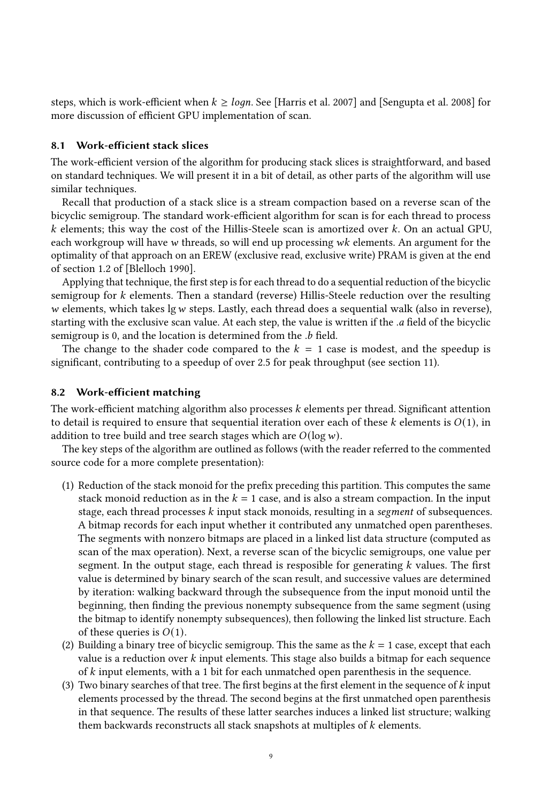steps, which is work-efficient when  $k \geq logn$ . See [\[Harris et al.](#page-14-10) [2007\]](#page-14-10) and [\[Sengupta et al.](#page-14-11) [2008\]](#page-14-11) for more discussion of efficient GPU implementation of scan.

#### 8.1 Work-efficient stack slices

The work-efficient version of the algorithm for producing stack slices is straightforward, and based on standard techniques. We will present it in a bit of detail, as other parts of the algorithm will use similar techniques.

Recall that production of a stack slice is a stream compaction based on a reverse scan of the bicyclic semigroup. The standard work-efficient algorithm for scan is for each thread to process  $k$  elements; this way the cost of the Hillis-Steele scan is amortized over  $k$ . On an actual GPU, each workgroup will have  $w$  threads, so will end up processing  $wk$  elements. An argument for the optimality of that approach on an EREW (exclusive read, exclusive write) PRAM is given at the end of section 1.2 of [\[Blelloch 1990\]](#page-14-8).

Applying that technique, the first step is for each thread to do a sequential reduction of the bicyclic semigroup for  $k$  elements. Then a standard (reverse) Hillis-Steele reduction over the resulting  $w$  elements, which takes lg  $w$  steps. Lastly, each thread does a sequential walk (also in reverse), starting with the exclusive scan value. At each step, the value is written if the . field of the bicyclic semigroup is 0, and the location is determined from the .b field.

The change to the shader code compared to the  $k = 1$  case is modest, and the speedup is significant, contributing to a speedup of over 2.5 for peak throughput (see section [11\)](#page-10-0).

#### 8.2 Work-efficient matching

The work-efficient matching algorithm also processes k elements per thread. Significant attention to detail is required to ensure that sequential iteration over each of these  $k$  elements is  $O(1)$ , in addition to tree build and tree search stages which are  $O(\log w)$ .

The key steps of the algorithm are outlined as follows (with the reader referred to the commented source code for a more complete presentation):

- (1) Reduction of the stack monoid for the prefix preceding this partition. This computes the same stack monoid reduction as in the  $k = 1$  case, and is also a stream compaction. In the input stage, each thread processes  $k$  input stack monoids, resulting in a segment of subsequences. A bitmap records for each input whether it contributed any unmatched open parentheses. The segments with nonzero bitmaps are placed in a linked list data structure (computed as scan of the max operation). Next, a reverse scan of the bicyclic semigroups, one value per segment. In the output stage, each thread is resposible for generating  $k$  values. The first value is determined by binary search of the scan result, and successive values are determined by iteration: walking backward through the subsequence from the input monoid until the beginning, then finding the previous nonempty subsequence from the same segment (using the bitmap to identify nonempty subsequences), then following the linked list structure. Each of these queries is  $O(1)$ .
- (2) Building a binary tree of bicyclic semigroup. This the same as the  $k = 1$  case, except that each value is a reduction over  $k$  input elements. This stage also builds a bitmap for each sequence of  $k$  input elements, with a 1 bit for each unmatched open parenthesis in the sequence.
- (3) Two binary searches of that tree. The first begins at the first element in the sequence of  $k$  input elements processed by the thread. The second begins at the first unmatched open parenthesis in that sequence. The results of these latter searches induces a linked list structure; walking them backwards reconstructs all stack snapshots at multiples of  $k$  elements.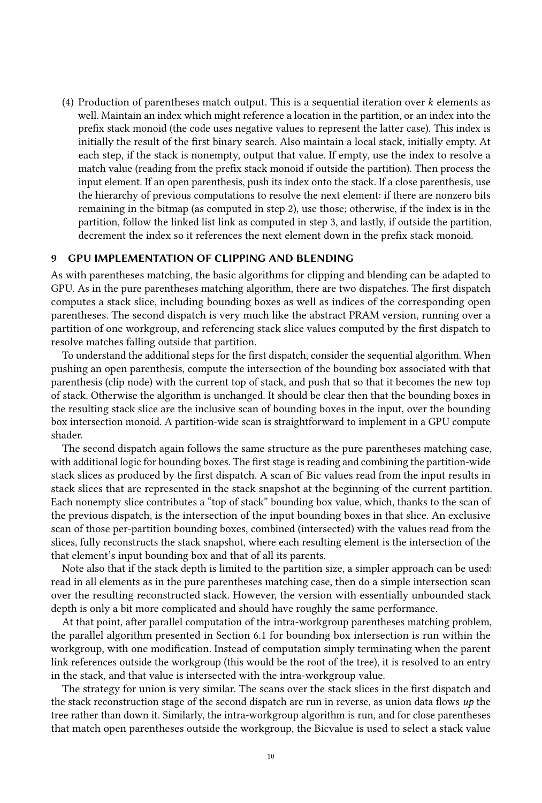(4) Production of parentheses match output. This is a sequential iteration over  $k$  elements as well. Maintain an index which might reference a location in the partition, or an index into the prefix stack monoid (the code uses negative values to represent the latter case). This index is initially the result of the first binary search. Also maintain a local stack, initially empty. At each step, if the stack is nonempty, output that value. If empty, use the index to resolve a match value (reading from the prefix stack monoid if outside the partition). Then process the input element. If an open parenthesis, push its index onto the stack. If a close parenthesis, use the hierarchy of previous computations to resolve the next element: if there are nonzero bits remaining in the bitmap (as computed in step 2), use those; otherwise, if the index is in the partition, follow the linked list link as computed in step 3, and lastly, if outside the partition, decrement the index so it references the next element down in the prefix stack monoid.

## 9 GPU IMPLEMENTATION OF CLIPPING AND BLENDING

As with parentheses matching, the basic algorithms for clipping and blending can be adapted to GPU. As in the pure parentheses matching algorithm, there are two dispatches. The first dispatch computes a stack slice, including bounding boxes as well as indices of the corresponding open parentheses. The second dispatch is very much like the abstract PRAM version, running over a partition of one workgroup, and referencing stack slice values computed by the first dispatch to resolve matches falling outside that partition.

To understand the additional steps for the first dispatch, consider the sequential algorithm. When pushing an open parenthesis, compute the intersection of the bounding box associated with that parenthesis (clip node) with the current top of stack, and push that so that it becomes the new top of stack. Otherwise the algorithm is unchanged. It should be clear then that the bounding boxes in the resulting stack slice are the inclusive scan of bounding boxes in the input, over the bounding box intersection monoid. A partition-wide scan is straightforward to implement in a GPU compute shader.

The second dispatch again follows the same structure as the pure parentheses matching case, with additional logic for bounding boxes. The first stage is reading and combining the partition-wide stack slices as produced by the first dispatch. A scan of Bic values read from the input results in stack slices that are represented in the stack snapshot at the beginning of the current partition. Each nonempty slice contributes a "top of stack" bounding box value, which, thanks to the scan of the previous dispatch, is the intersection of the input bounding boxes in that slice. An exclusive scan of those per-partition bounding boxes, combined (intersected) with the values read from the slices, fully reconstructs the stack snapshot, where each resulting element is the intersection of the that element's input bounding box and that of all its parents.

Note also that if the stack depth is limited to the partition size, a simpler approach can be used: read in all elements as in the pure parentheses matching case, then do a simple intersection scan over the resulting reconstructed stack. However, the version with essentially unbounded stack depth is only a bit more complicated and should have roughly the same performance.

At that point, after parallel computation of the intra-workgroup parentheses matching problem, the parallel algorithm presented in Section [6.1](#page-5-1) for bounding box intersection is run within the workgroup, with one modification. Instead of computation simply terminating when the parent link references outside the workgroup (this would be the root of the tree), it is resolved to an entry in the stack, and that value is intersected with the intra-workgroup value.

The strategy for union is very similar. The scans over the stack slices in the first dispatch and the stack reconstruction stage of the second dispatch are run in reverse, as union data flows up the tree rather than down it. Similarly, the intra-workgroup algorithm is run, and for close parentheses that match open parentheses outside the workgroup, the Bicvalue is used to select a stack value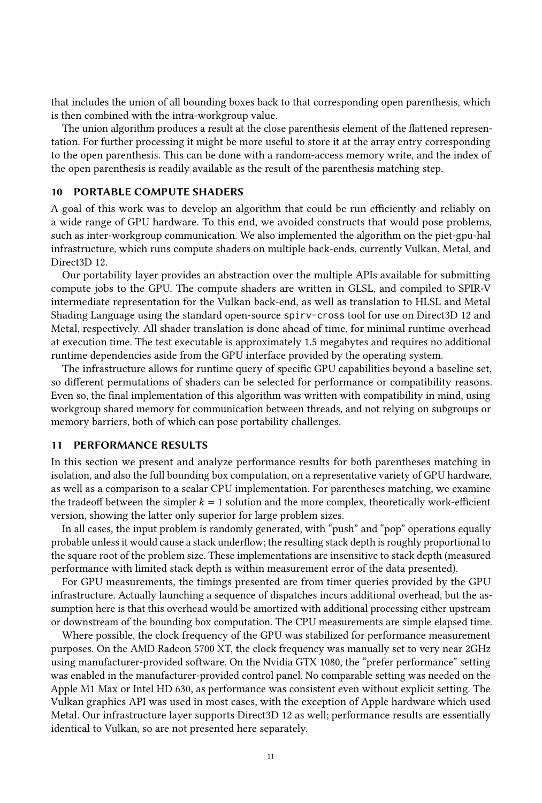that includes the union of all bounding boxes back to that corresponding open parenthesis, which is then combined with the intra-workgroup value.

The union algorithm produces a result at the close parenthesis element of the flattened representation. For further processing it might be more useful to store it at the array entry corresponding to the open parenthesis. This can be done with a random-access memory write, and the index of the open parenthesis is readily available as the result of the parenthesis matching step.

#### 10 PORTABLE COMPUTE SHADERS

A goal of this work was to develop an algorithm that could be run efficiently and reliably on a wide range of GPU hardware. To this end, we avoided constructs that would pose problems, such as inter-workgroup communication. We also implemented the algorithm on the piet-gpu-hal infrastructure, which runs compute shaders on multiple back-ends, currently Vulkan, Metal, and Direct3D 12.

Our portability layer provides an abstraction over the multiple APIs available for submitting compute jobs to the GPU. The compute shaders are written in GLSL, and compiled to SPIR-V intermediate representation for the Vulkan back-end, as well as translation to HLSL and Metal Shading Language using the standard open-source spirv-cross tool for use on Direct3D 12 and Metal, respectively. All shader translation is done ahead of time, for minimal runtime overhead at execution time. The test executable is approximately 1.5 megabytes and requires no additional runtime dependencies aside from the GPU interface provided by the operating system.

The infrastructure allows for runtime query of specific GPU capabilities beyond a baseline set, so different permutations of shaders can be selected for performance or compatibility reasons. Even so, the final implementation of this algorithm was written with compatibility in mind, using workgroup shared memory for communication between threads, and not relying on subgroups or memory barriers, both of which can pose portability challenges.

## <span id="page-10-0"></span>11 PERFORMANCE RESULTS

In this section we present and analyze performance results for both parentheses matching in isolation, and also the full bounding box computation, on a representative variety of GPU hardware, as well as a comparison to a scalar CPU implementation. For parentheses matching, we examine the tradeoff between the simpler  $k = 1$  solution and the more complex, theoretically work-efficient version, showing the latter only superior for large problem sizes.

In all cases, the input problem is randomly generated, with "push" and "pop" operations equally probable unless it would cause a stack underflow; the resulting stack depth is roughly proportional to the square root of the problem size. These implementations are insensitive to stack depth (measured performance with limited stack depth is within measurement error of the data presented).

For GPU measurements, the timings presented are from timer queries provided by the GPU infrastructure. Actually launching a sequence of dispatches incurs additional overhead, but the assumption here is that this overhead would be amortized with additional processing either upstream or downstream of the bounding box computation. The CPU measurements are simple elapsed time.

Where possible, the clock frequency of the GPU was stabilized for performance measurement purposes. On the AMD Radeon 5700 XT, the clock frequency was manually set to very near 2GHz using manufacturer-provided software. On the Nvidia GTX 1080, the "prefer performance" setting was enabled in the manufacturer-provided control panel. No comparable setting was needed on the Apple M1 Max or Intel HD 630, as performance was consistent even without explicit setting. The Vulkan graphics API was used in most cases, with the exception of Apple hardware which used Metal. Our infrastructure layer supports Direct3D 12 as well; performance results are essentially identical to Vulkan, so are not presented here separately.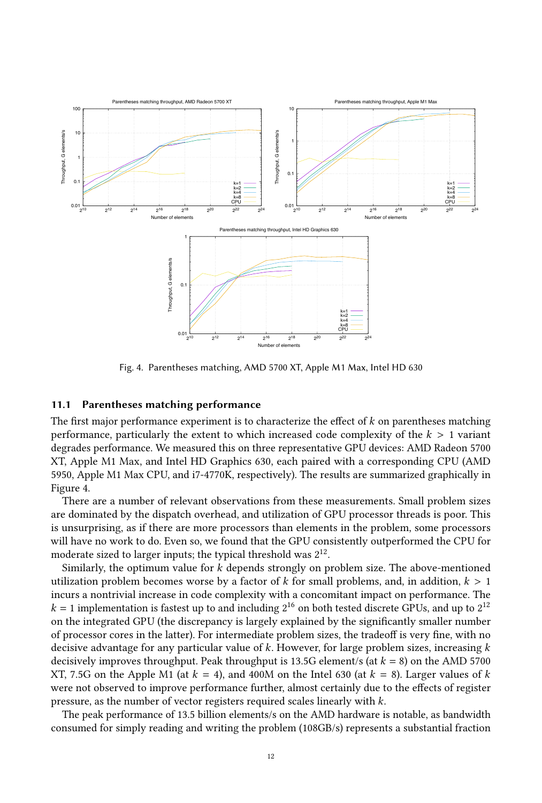<span id="page-11-0"></span>

Fig. 4. Parentheses matching, AMD 5700 XT, Apple M1 Max, Intel HD 630

## 11.1 Parentheses matching performance

The first major performance experiment is to characterize the effect of  $k$  on parentheses matching performance, particularly the extent to which increased code complexity of the  $k > 1$  variant degrades performance. We measured this on three representative GPU devices: AMD Radeon 5700 XT, Apple M1 Max, and Intel HD Graphics 630, each paired with a corresponding CPU (AMD 5950, Apple M1 Max CPU, and i7-4770K, respectively). The results are summarized graphically in Figure [4.](#page-11-0)

There are a number of relevant observations from these measurements. Small problem sizes are dominated by the dispatch overhead, and utilization of GPU processor threads is poor. This is unsurprising, as if there are more processors than elements in the problem, some processors will have no work to do. Even so, we found that the GPU consistently outperformed the CPU for moderate sized to larger inputs; the typical threshold was  $2^{12}.$ 

Similarly, the optimum value for  $k$  depends strongly on problem size. The above-mentioned utilization problem becomes worse by a factor of  $k$  for small problems, and, in addition,  $k > 1$ incurs a nontrivial increase in code complexity with a concomitant impact on performance. The  $k = 1$  implementation is fastest up to and including  $2^{16}$  on both tested discrete GPUs, and up to  $2^{12}$ on the integrated GPU (the discrepancy is largely explained by the significantly smaller number of processor cores in the latter). For intermediate problem sizes, the tradeoff is very fine, with no decisive advantage for any particular value of  $k$ . However, for large problem sizes, increasing  $k$ decisively improves throughput. Peak throughput is 13.5G element/s (at  $k = 8$ ) on the AMD 5700 XT, 7.5G on the Apple M1 (at  $k = 4$ ), and 400M on the Intel 630 (at  $k = 8$ ). Larger values of k were not observed to improve performance further, almost certainly due to the effects of register pressure, as the number of vector registers required scales linearly with  $k$ .

The peak performance of 13.5 billion elements/s on the AMD hardware is notable, as bandwidth consumed for simply reading and writing the problem (108GB/s) represents a substantial fraction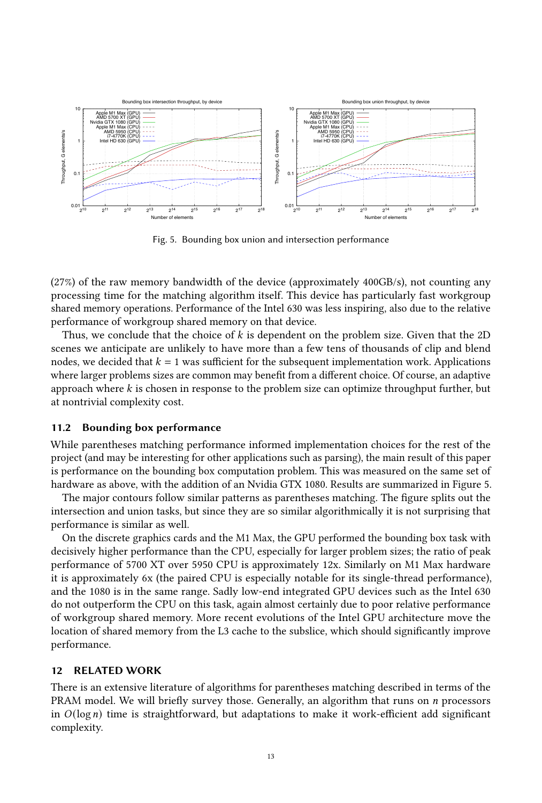<span id="page-12-0"></span>

Fig. 5. Bounding box union and intersection performance

(27%) of the raw memory bandwidth of the device (approximately 400GB/s), not counting any processing time for the matching algorithm itself. This device has particularly fast workgroup shared memory operations. Performance of the Intel 630 was less inspiring, also due to the relative performance of workgroup shared memory on that device.

Thus, we conclude that the choice of  $k$  is dependent on the problem size. Given that the 2D scenes we anticipate are unlikely to have more than a few tens of thousands of clip and blend nodes, we decided that  $k = 1$  was sufficient for the subsequent implementation work. Applications where larger problems sizes are common may benefit from a different choice. Of course, an adaptive approach where  $k$  is chosen in response to the problem size can optimize throughput further, but at nontrivial complexity cost.

#### 11.2 Bounding box performance

While parentheses matching performance informed implementation choices for the rest of the project (and may be interesting for other applications such as parsing), the main result of this paper is performance on the bounding box computation problem. This was measured on the same set of hardware as above, with the addition of an Nvidia GTX 1080. Results are summarized in Figure [5.](#page-12-0)

The major contours follow similar patterns as parentheses matching. The figure splits out the intersection and union tasks, but since they are so similar algorithmically it is not surprising that performance is similar as well.

On the discrete graphics cards and the M1 Max, the GPU performed the bounding box task with decisively higher performance than the CPU, especially for larger problem sizes; the ratio of peak performance of 5700 XT over 5950 CPU is approximately 12x. Similarly on M1 Max hardware it is approximately 6x (the paired CPU is especially notable for its single-thread performance), and the 1080 is in the same range. Sadly low-end integrated GPU devices such as the Intel 630 do not outperform the CPU on this task, again almost certainly due to poor relative performance of workgroup shared memory. More recent evolutions of the Intel GPU architecture move the location of shared memory from the L3 cache to the subslice, which should significantly improve performance.

#### 12 RELATED WORK

There is an extensive literature of algorithms for parentheses matching described in terms of the PRAM model. We will briefly survey those. Generally, an algorithm that runs on *n* processors in  $O(log n)$  time is straightforward, but adaptations to make it work-efficient add significant complexity.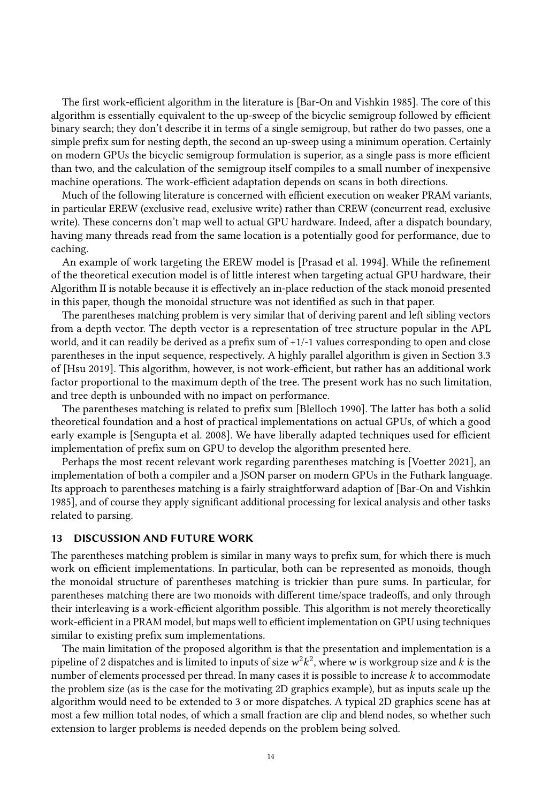The first work-efficient algorithm in the literature is [\[Bar-On and Vishkin 1985\]](#page-14-2). The core of this algorithm is essentially equivalent to the up-sweep of the bicyclic semigroup followed by efficient binary search; they don't describe it in terms of a single semigroup, but rather do two passes, one a simple prefix sum for nesting depth, the second an up-sweep using a minimum operation. Certainly on modern GPUs the bicyclic semigroup formulation is superior, as a single pass is more efficient than two, and the calculation of the semigroup itself compiles to a small number of inexpensive machine operations. The work-efficient adaptation depends on scans in both directions.

Much of the following literature is concerned with efficient execution on weaker PRAM variants, in particular EREW (exclusive read, exclusive write) rather than CREW (concurrent read, exclusive write). These concerns don't map well to actual GPU hardware. Indeed, after a dispatch boundary, having many threads read from the same location is a potentially good for performance, due to caching.

An example of work targeting the EREW model is [\[Prasad et al.](#page-14-4) [1994\]](#page-14-4). While the refinement of the theoretical execution model is of little interest when targeting actual GPU hardware, their Algorithm II is notable because it is effectively an in-place reduction of the stack monoid presented in this paper, though the monoidal structure was not identified as such in that paper.

The parentheses matching problem is very similar that of deriving parent and left sibling vectors from a depth vector. The depth vector is a representation of tree structure popular in the APL world, and it can readily be derived as a prefix sum of +1/-1 values corresponding to open and close parentheses in the input sequence, respectively. A highly parallel algorithm is given in Section 3.3 of [\[Hsu 2019\]](#page-14-5). This algorithm, however, is not work-efficient, but rather has an additional work factor proportional to the maximum depth of the tree. The present work has no such limitation, and tree depth is unbounded with no impact on performance.

The parentheses matching is related to prefix sum [\[Blelloch 1990\]](#page-14-8). The latter has both a solid theoretical foundation and a host of practical implementations on actual GPUs, of which a good early example is [\[Sengupta et al.](#page-14-11) [2008\]](#page-14-11). We have liberally adapted techniques used for efficient implementation of prefix sum on GPU to develop the algorithm presented here.

Perhaps the most recent relevant work regarding parentheses matching is [\[Voetter 2021\]](#page-15-0), an implementation of both a compiler and a JSON parser on modern GPUs in the Futhark language. Its approach to parentheses matching is a fairly straightforward adaption of [\[Bar-On and Vishkin](#page-14-2) [1985\]](#page-14-2), and of course they apply significant additional processing for lexical analysis and other tasks related to parsing.

## 13 DISCUSSION AND FUTURE WORK

The parentheses matching problem is similar in many ways to prefix sum, for which there is much work on efficient implementations. In particular, both can be represented as monoids, though the monoidal structure of parentheses matching is trickier than pure sums. In particular, for parentheses matching there are two monoids with different time/space tradeoffs, and only through their interleaving is a work-efficient algorithm possible. This algorithm is not merely theoretically work-efficient in a PRAM model, but maps well to efficient implementation on GPU using techniques similar to existing prefix sum implementations.

The main limitation of the proposed algorithm is that the presentation and implementation is a pipeline of 2 dispatches and is limited to inputs of size  $w^2k^2$ , where w is workgroup size and k is the number of elements processed per thread. In many cases it is possible to increase k to accommodate the problem size (as is the case for the motivating 2D graphics example), but as inputs scale up the algorithm would need to be extended to 3 or more dispatches. A typical 2D graphics scene has at most a few million total nodes, of which a small fraction are clip and blend nodes, so whether such extension to larger problems is needed depends on the problem being solved.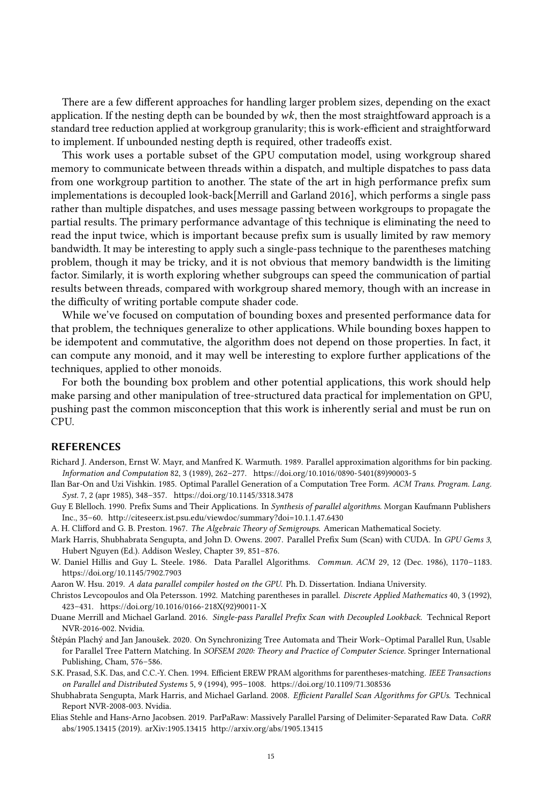There are a few different approaches for handling larger problem sizes, depending on the exact application. If the nesting depth can be bounded by  $wk$ , then the most straightfoward approach is a standard tree reduction applied at workgroup granularity; this is work-efficient and straightforward to implement. If unbounded nesting depth is required, other tradeoffs exist.

This work uses a portable subset of the GPU computation model, using workgroup shared memory to communicate between threads within a dispatch, and multiple dispatches to pass data from one workgroup partition to another. The state of the art in high performance prefix sum implementations is decoupled look-back[\[Merrill and Garland 2016\]](#page-14-12), which performs a single pass rather than multiple dispatches, and uses message passing between workgroups to propagate the partial results. The primary performance advantage of this technique is eliminating the need to read the input twice, which is important because prefix sum is usually limited by raw memory bandwidth. It may be interesting to apply such a single-pass technique to the parentheses matching problem, though it may be tricky, and it is not obvious that memory bandwidth is the limiting factor. Similarly, it is worth exploring whether subgroups can speed the communication of partial results between threads, compared with workgroup shared memory, though with an increase in the difficulty of writing portable compute shader code.

While we've focused on computation of bounding boxes and presented performance data for that problem, the techniques generalize to other applications. While bounding boxes happen to be idempotent and commutative, the algorithm does not depend on those properties. In fact, it can compute any monoid, and it may well be interesting to explore further applications of the techniques, applied to other monoids.

For both the bounding box problem and other potential applications, this work should help make parsing and other manipulation of tree-structured data practical for implementation on GPU, pushing past the common misconception that this work is inherently serial and must be run on CPU.

#### **REFERENCES**

- <span id="page-14-0"></span>Richard J. Anderson, Ernst W. Mayr, and Manfred K. Warmuth. 1989. Parallel approximation algorithms for bin packing. Information and Computation 82, 3 (1989), 262–277. [https://doi.org/10.1016/0890-5401\(89\)90003-5](https://doi.org/10.1016/0890-5401(89)90003-5)
- <span id="page-14-2"></span>Ilan Bar-On and Uzi Vishkin. 1985. Optimal Parallel Generation of a Computation Tree Form. ACM Trans. Program. Lang. Syst. 7, 2 (apr 1985), 348–357.<https://doi.org/10.1145/3318.3478>
- <span id="page-14-8"></span>Guy E Blelloch. 1990. Prefix Sums and Their Applications. In Synthesis of parallel algorithms. Morgan Kaufmann Publishers Inc., 35–60.<http://citeseerx.ist.psu.edu/viewdoc/summary?doi=10.1.1.47.6430>
- <span id="page-14-7"></span>A. H. Clifford and G. B. Preston. 1967. The Algebraic Theory of Semigroups. American Mathematical Society.
- <span id="page-14-10"></span>Mark Harris, Shubhabrata Sengupta, and John D. Owens. 2007. Parallel Prefix Sum (Scan) with CUDA. In GPU Gems 3, Hubert Nguyen (Ed.). Addison Wesley, Chapter 39, 851–876.
- <span id="page-14-9"></span>W. Daniel Hillis and Guy L. Steele. 1986. Data Parallel Algorithms. Commun. ACM 29, 12 (Dec. 1986), 1170–1183. <https://doi.org/10.1145/7902.7903>
- <span id="page-14-5"></span>Aaron W. Hsu. 2019. A data parallel compiler hosted on the GPU. Ph. D. Dissertation. Indiana University.
- <span id="page-14-3"></span>Christos Levcopoulos and Ola Petersson. 1992. Matching parentheses in parallel. Discrete Applied Mathematics 40, 3 (1992), 423–431. [https://doi.org/10.1016/0166-218X\(92\)90011-X](https://doi.org/10.1016/0166-218X(92)90011-X)
- <span id="page-14-12"></span>Duane Merrill and Michael Garland. 2016. Single-pass Parallel Prefix Scan with Decoupled Lookback. Technical Report NVR-2016-002. Nvidia.
- <span id="page-14-1"></span>Štěpán Plachý and Jan Janoušek. 2020. On Synchronizing Tree Automata and Their Work–Optimal Parallel Run, Usable for Parallel Tree Pattern Matching. In SOFSEM 2020: Theory and Practice of Computer Science. Springer International Publishing, Cham, 576–586.
- <span id="page-14-4"></span>S.K. Prasad, S.K. Das, and C.C.-Y. Chen. 1994. Efficient EREW PRAM algorithms for parentheses-matching. IEEE Transactions on Parallel and Distributed Systems 5, 9 (1994), 995–1008.<https://doi.org/10.1109/71.308536>
- <span id="page-14-11"></span>Shubhabrata Sengupta, Mark Harris, and Michael Garland. 2008. Efficient Parallel Scan Algorithms for GPUs. Technical Report NVR-2008-003. Nvidia.
- <span id="page-14-6"></span>Elias Stehle and Hans-Arno Jacobsen. 2019. ParPaRaw: Massively Parallel Parsing of Delimiter-Separated Raw Data. CoRR abs/1905.13415 (2019). arXiv:1905.13415<http://arxiv.org/abs/1905.13415>